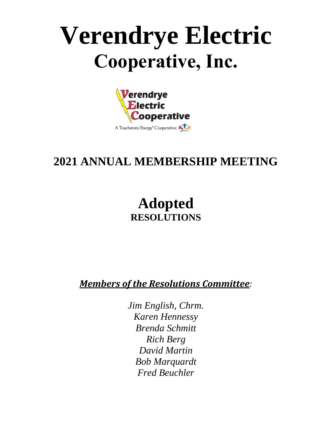# **Verendrye Electric Cooperative, Inc.**



## **2021 ANNUAL MEMBERSHIP MEETING**

# **Adopted RESOLUTIONS**

*Members of the Resolutions Committee:*

*Jim English, Chrm. Karen Hennessy Brenda Schmitt Rich Berg David Martin Bob Marquardt Fred Beuchler*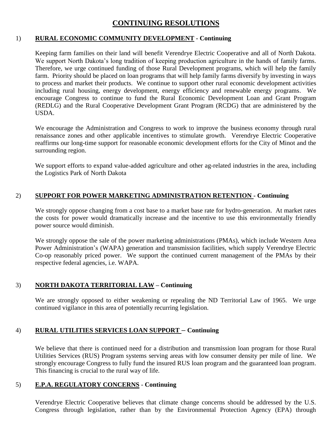## **CONTINUING RESOLUTIONS**

#### 1) **RURAL ECONOMIC COMMUNITY DEVELOPMENT - Continuing**

Keeping farm families on their land will benefit Verendrye Electric Cooperative and all of North Dakota. We support North Dakota's long tradition of keeping production agriculture in the hands of family farms. Therefore, we urge continued funding of those Rural Development programs, which will help the family farm. Priority should be placed on loan programs that will help family farms diversify by investing in ways to process and market their products. We continue to support other rural economic development activities including rural housing, energy development, energy efficiency and renewable energy programs. We encourage Congress to continue to fund the Rural Economic Development Loan and Grant Program (REDLG) and the Rural Cooperative Development Grant Program (RCDG) that are administered by the USDA.

We encourage the Administration and Congress to work to improve the business economy through rural renaissance zones and other applicable incentives to stimulate growth. Verendrye Electric Cooperative reaffirms our long-time support for reasonable economic development efforts for the City of Minot and the surrounding region.

We support efforts to expand value-added agriculture and other ag-related industries in the area, including the Logistics Park of North Dakota

#### 2) **SUPPORT FOR POWER MARKETING ADMINISTRATION RETENTION - Continuing**

We strongly oppose changing from a cost base to a market base rate for hydro-generation. At market rates the costs for power would dramatically increase and the incentive to use this environmentally friendly power source would diminish.

We strongly oppose the sale of the power marketing administrations (PMAs), which include Western Area Power Administration's (WAPA) generation and transmission facilities, which supply Verendrye Electric Co-op reasonably priced power. We support the continued current management of the PMAs by their respective federal agencies, i.e. WAPA.

#### 3) **NORTH DAKOTA TERRITORIAL LAW – Continuing**

We are strongly opposed to either weakening or repealing the ND Territorial Law of 1965. We urge continued vigilance in this area of potentially recurring legislation.

#### 4) **RURAL UTILITIES SERVICES LOAN SUPPORT – Continuing**

We believe that there is continued need for a distribution and transmission loan program for those Rural Utilities Services (RUS) Program systems serving areas with low consumer density per mile of line. We strongly encourage Congress to fully fund the insured RUS loan program and the guaranteed loan program. This financing is crucial to the rural way of life.

#### 5) **E.P.A. REGULATORY CONCERNS** - **Continuing**

Verendrye Electric Cooperative believes that climate change concerns should be addressed by the U.S. Congress through legislation, rather than by the Environmental Protection Agency (EPA) through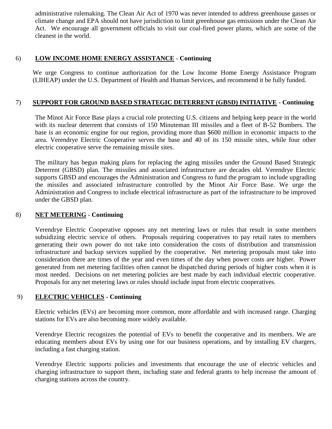administrative rulemaking. The Clean Air Act of 1970 was never intended to address greenhouse gasses or climate change and EPA should not have jurisdiction to limit greenhouse gas emissions under the Clean Air Act. We encourage all government officials to visit our coal-fired power plants, which are some of the cleanest in the world.

#### 6) **LOW INCOME HOME ENERGY ASSISTANCE** - **Continuing**

We urge Congress to continue authorization for the Low Income Home Energy Assistance Program (LIHEAP) under the U.S. Department of Health and Human Services, and recommend it be fully funded.

#### 7) **SUPPORT FOR GROUND BASED STRATEGIC DETERRENT (GBSD) INITIATIVE - Continuing**

The Minot Air Force Base plays a crucial role protecting U.S. citizens and helping keep peace in the world with its nuclear deterrent that consists of 150 Minuteman III missiles and a fleet of B-52 Bombers. The base is an economic engine for our region, providing more than \$600 million in economic impacts to the area. Verendrye Electric Cooperative serves the base and 40 of its 150 missile sites, while four other electric cooperative serve the remaining missile sites.

The military has begun making plans for replacing the aging missiles under the Ground Based Strategic Deterrent (GBSD) plan. The missiles and associated infrastructure are decades old. Verendrye Electric supports GBSD and encourages the Administration and Congress to fund the program to include upgrading the missiles and associated infrastructure controlled by the Minot Air Force Base. We urge the Administration and Congress to include electrical infrastructure as part of the infrastructure to be improved under the GBSD plan.

#### 8) **NET METERING** - **Continuing**

Verendrye Electric Cooperative opposes any net metering laws or rules that result in some members subsidizing electric service of others. Proposals requiring cooperatives to pay retail rates to members generating their own power do not take into consideration the costs of distribution and transmission infrastructure and backup services supplied by the cooperative. Net metering proposals must take into consideration there are times of the year and even times of the day when power costs are higher. Power generated from net metering facilities often cannot be dispatched during periods of higher costs when it is most needed. Decisions on net metering policies are best made by each individual electric cooperative. Proposals for any net metering laws or rules should include input from electric cooperatives.

#### 9) **ELECTRIC VEHICLES - Continuing**

Electric vehicles (EVs) are becoming more common, more affordable and with increased range. Charging stations for EVs are also becoming more widely available.

Verendrye Electric recognizes the potential of EVs to benefit the cooperative and its members. We are educating members about EVs by using one for our business operations, and by installing EV chargers, including a fast charging station.

Verendrye Electric supports policies and investments that encourage the use of electric vehicles and charging infrastructure to support them, including state and federal grants to help increase the amount of charging stations across the country.